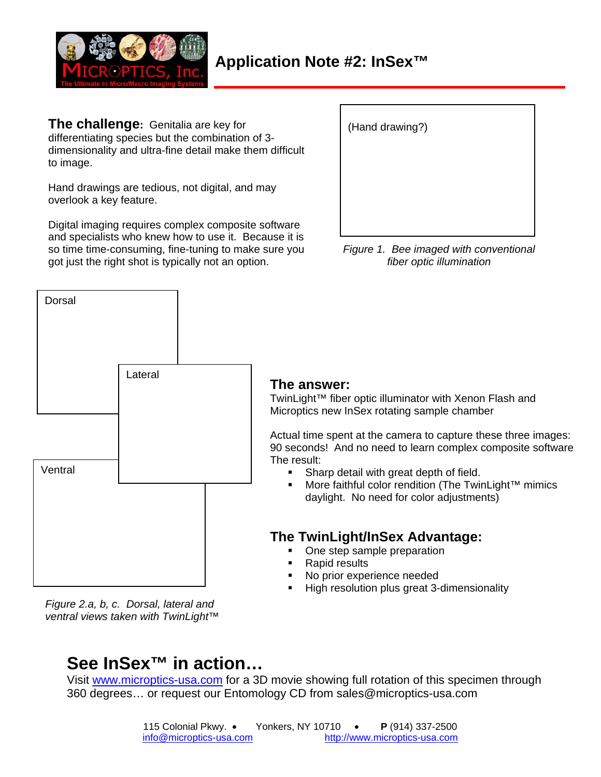

**The challenge:** Genitalia are key for differentiating species but the combination of 3 dimensionality and ultra-fine detail make them difficult to image.

Hand drawings are tedious, not digital, and may overlook a key feature.

Digital imaging requires complex composite software and specialists who knew how to use it. Because it is so time time-consuming, fine-tuning to make sure you got just the right shot is typically not an option.

| (Hand drawing?) |  |
|-----------------|--|
|                 |  |
|                 |  |
|                 |  |

*Figure 1. Bee imaged with conventional fiber optic illumination*



## **The answer:**

TwinLight™ fiber optic illuminator with Xenon Flash and Microptics new InSex rotating sample chamber

Actual time spent at the camera to capture these three images: 90 seconds! And no need to learn complex composite software The result:

- **Sharp detail with great depth of field.**
- More faithful color rendition (The TwinLight™ mimics daylight. No need for color adjustments)

## **The TwinLight/InSex Advantage:**

- One step sample preparation
- Rapid results
- No prior experience needed
- High resolution plus great 3-dimensionality

*Figure 2.a, b, c. Dorsal, lateral and ventral views taken with TwinLight™* 

## **See InSex™ in action…**

Visit www.microptics-usa.com for a 3D movie showing full rotation of this specimen through 360 degrees… or request our Entomology CD from sales@microptics-usa.com